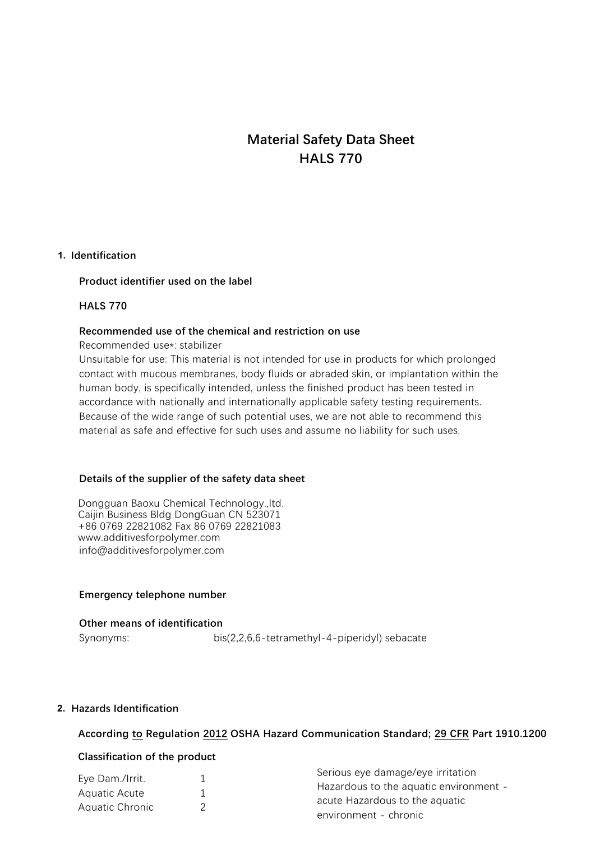# **Material Safety Data Sheet HALS 770**

#### **1. Identification**

#### **Product identifier used on the label**

#### **HALS 770**

#### **Recommended use of the chemical and restriction on use**

Recommended use\*: stabilizer

Unsuitable for use: This material is not intended for use in products for which prolonged contact with mucous membranes, body fluids or abraded skin, or implantation within the human body, is specifically intended, unless the finished product has been tested in accordance with nationally and internationally applicable safety testing requirements. Because of the wide range of such potential uses, we are not able to recommend this material as safe and effective for such uses and assume no liability for such uses.

#### **Details of the supplier of the safety data sheet**

Dongguan Baoxu Chemical Technology.,ltd. Caijin Business Bldg DongGuan CN 523071 +86 0769 22821082 Fax 86 0769 22821083 www.additivesforpolymer.com info@additivesforpolymer.com

#### **Emergency telephone number**

**Other means of identification** Synonyms: bis(2,2,6,6-tetramethyl-4-piperidyl) sebacate

#### **2. Hazards Identification**

#### **According to Regulation 2012 OSHA Hazard Communication Standard; 29 CFR Part 1910.1200**

#### **Classification of the product**

|                 | Serious eye damage/eye irritation      |
|-----------------|----------------------------------------|
| Eye Dam./Irrit. | Hazardous to the aquatic environment - |
| Aquatic Acute   |                                        |
|                 | acute Hazardous to the aquatic         |
| Aquatic Chronic | environment - chronic                  |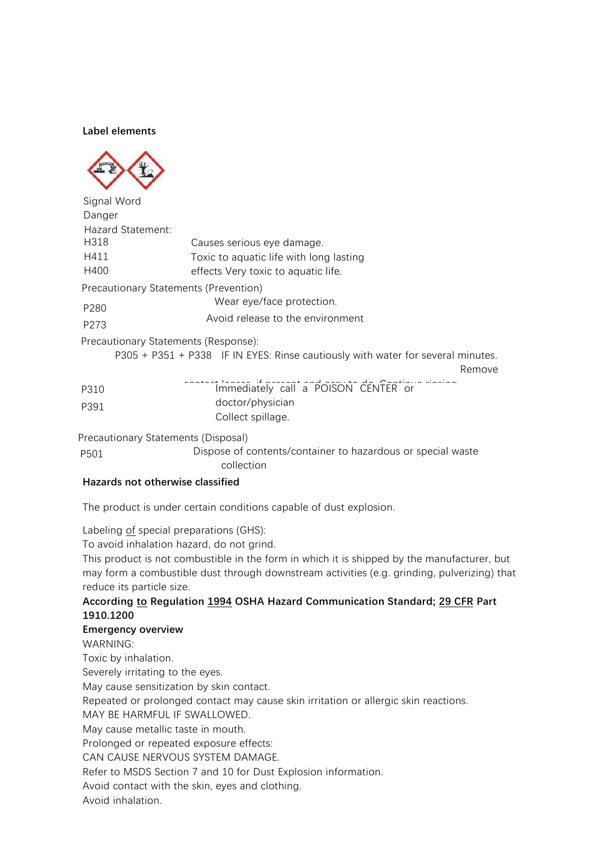#### **Label elements**



| Signal Word                         |                                                                                           |
|-------------------------------------|-------------------------------------------------------------------------------------------|
| Danger                              |                                                                                           |
| Hazard Statement:                   |                                                                                           |
| H318                                | Causes serious eye damage.                                                                |
| H411                                | Toxic to aquatic life with long lasting                                                   |
| H400                                | effects Very toxic to aquatic life.                                                       |
|                                     | Precautionary Statements (Prevention)                                                     |
| P280                                | Wear eye/face protection.                                                                 |
| P273                                | Avoid release to the environment                                                          |
|                                     | Precautionary Statements (Response):                                                      |
|                                     | P305 + P351 + P338 IF IN EYES: Rinse cautiously with water for several minutes.<br>Remove |
| P310                                | Content Innediately call a POISON CENTER or                                               |
| P391                                | doctor/physician                                                                          |
|                                     | Collect spillage.                                                                         |
| Precautionary Statements (Disposal) |                                                                                           |
| P501                                | Dispose of contents/container to hazardous or special waste                               |

collection

# **Hazards not otherwise classified**

The product is under certain conditions capable of dust explosion.

Labeling of special preparations (GHS):

To avoid inhalation hazard, do not grind.

This product is not combustible in the form in which it is shipped by the manufacturer, but may form a combustible dust through downstream activities (e.g. grinding, pulverizing) that reduce its particle size.

# **According to Regulation 1994 OSHA Hazard Communication Standard; 29 CFR Part 1910.1200**

#### **Emergency overview**

WARNING:

Toxic by inhalation.

Severely irritating to the eyes.

May cause sensitization by skin contact.

Repeated or prolonged contact may cause skin irritation or allergic skin reactions.

MAY BE HARMFUL IF SWALLOWED.

May cause metallic taste in mouth.

Prolonged or repeated exposure effects:

CAN CAUSE NERVOUS SYSTEM DAMAGE.

Refer to MSDS Section 7 and 10 for Dust Explosion information.

Avoid contact with the skin, eyes and clothing.

Avoid inhalation.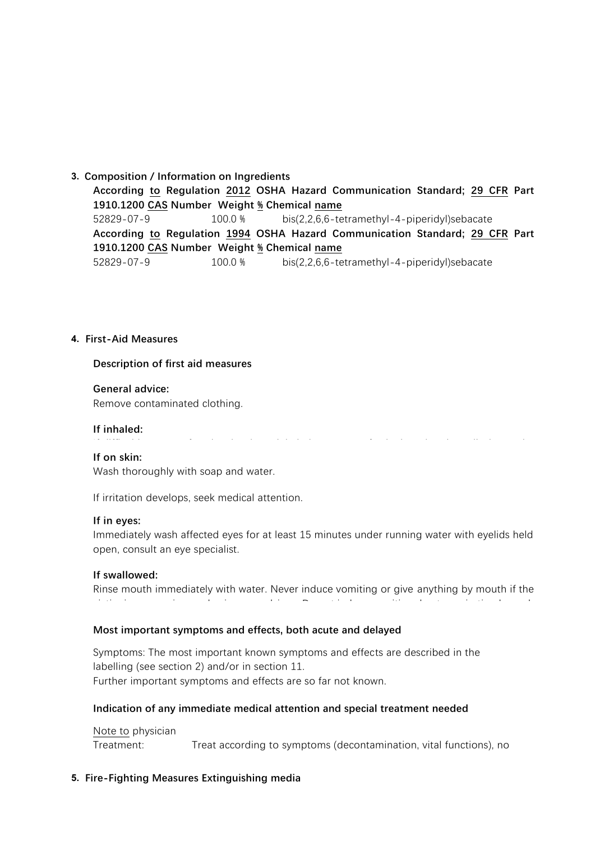#### **3. Composition / Information on Ingredients**

**According to Regulation 2012 OSHA Hazard Communication Standard; 29 CFR Part 1910.1200 CAS Number Weight % Chemical name** 52829-07-9 100.0 % bis(2,2,6,6-tetramethyl-4-piperidyl)sebacate **According to Regulation 1994 OSHA Hazard Communication Standard; 29 CFR Part 1910.1200 CAS Number Weight % Chemical name** 52829-07-9 100.0 % bis(2,2,6,6-tetramethyl-4-piperidyl)sebacate

#### **4. First-Aid Measures**

#### **Description of first aid measures**

#### **General advice:**

Remove contaminated clothing.

#### **If inhaled:**

If difficulties occur after dust has been inhaled, remove to fresh air and seek medical attention.

#### **If on skin:**

Wash thoroughly with soap and water.

If irritation develops, seek medical attention.

#### **If in eyes:**

Immediately wash affected eyes for at least 15 minutes under running water with eyelids held open, consult an eye specialist.

# **If swallowed:**

Rinse mouth immediately with water. Never induce vomiting or give anything by mouth if the victim is unconscious or having convulsions. Do not induce vomiting due to aspiration hazard.

# **Most important symptoms and effects, both acute and delayed**

Symptoms: The most important known symptoms and effects are described in the labelling (see section 2) and/or in section 11. Further important symptoms and effects are so far not known.

# **Indication of any immediate medical attention and special treatment needed**

Note to physician Treatment: Treat according to symptoms (decontamination, vital functions), no

# **5. Fire-Fighting Measures Extinguishing media**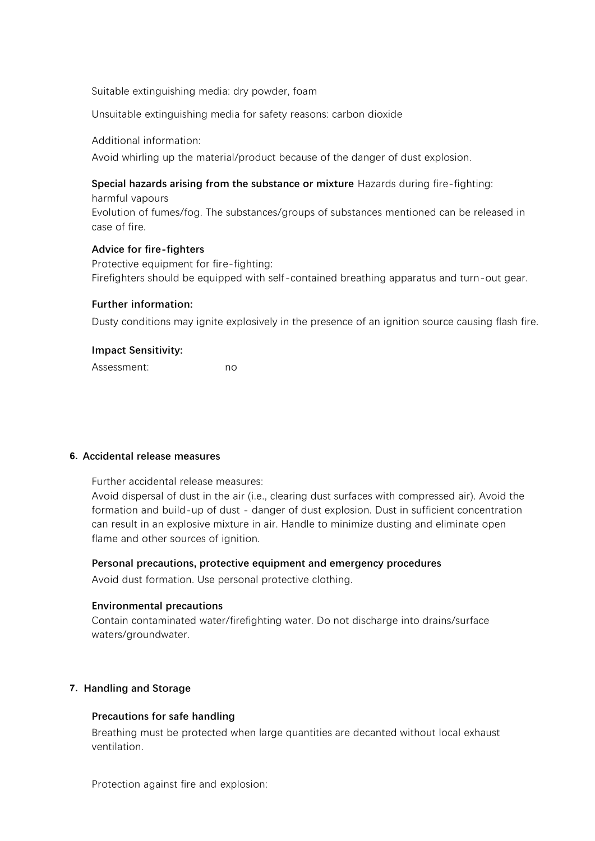Suitable extinguishing media: dry powder, foam

Unsuitable extinguishing media for safety reasons: carbon dioxide

Additional information:

Avoid whirling up the material/product because of the danger of dust explosion.

## **Special hazards arising from the substance or mixture** Hazards during fire-fighting:

harmful vapours Evolution of fumes/fog. The substances/groups of substances mentioned can be released in case of fire.

#### **Advice for fire-fighters**

Protective equipment for fire-fighting: Firefighters should be equipped with self-contained breathing apparatus and turn-out gear.

#### **Further information:**

Dusty conditions may ignite explosively in the presence of an ignition source causing flash fire.

#### **Impact Sensitivity:**

Assessment: no

# **6. Accidental release measures**

Further accidental release measures:

Avoid dispersal of dust in the air (i.e., clearing dust surfaces with compressed air). Avoid the formation and build-up of dust - danger of dust explosion. Dust in sufficient concentration can result in an explosive mixture in air. Handle to minimize dusting and eliminate open flame and other sources of ignition.

# **Personal precautions, protective equipment and emergency procedures**

Avoid dust formation. Use personal protective clothing.

# **Environmental precautions**

Contain contaminated water/firefighting water. Do not discharge into drains/surface waters/groundwater.

# **7. Handling and Storage**

# **Precautions for safe handling**

Breathing must be protected when large quantities are decanted without local exhaust ventilation.

Protection against fire and explosion: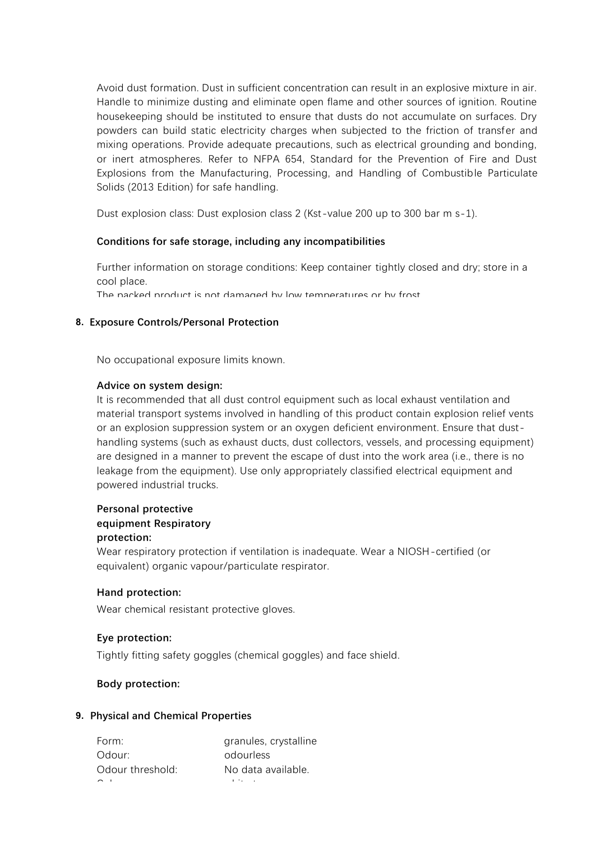Avoid dust formation. Dust in sufficient concentration can result in an explosive mixture in air. Handle to minimize dusting and eliminate open flame and other sources of ignition. Routine housekeeping should be instituted to ensure that dusts do not accumulate on surfaces. Dry powders can build static electricity charges when subjected to the friction of transfer and mixing operations. Provide adequate precautions, such as electrical grounding and bonding, or inert atmospheres. Refer to NFPA 654, Standard for the Prevention of Fire and Dust Explosions from the Manufacturing, Processing, and Handling of Combustible Particulate Solids (2013 Edition) for safe handling.

Dust explosion class: Dust explosion class 2 (Kst-value 200 up to 300 bar m s-1).

#### **Conditions for safe storage, including any incompatibilities**

Further information on storage conditions: Keep container tightly closed and dry; store in a cool place.

The packed product is not damaged by low temperatures or by frost.

#### **8. Exposure Controls/Personal Protection**

No occupational exposure limits known.

#### **Advice on system design:**

It is recommended that all dust control equipment such as local exhaust ventilation and material transport systems involved in handling of this product contain explosion relief vents or an explosion suppression system or an oxygen deficient environment. Ensure that dusthandling systems (such as exhaust ducts, dust collectors, vessels, and processing equipment) are designed in a manner to prevent the escape of dust into the work area (i.e., there is no leakage from the equipment). Use only appropriately classified electrical equipment and powered industrial trucks.

## **Personal protective equipment Respiratory protection:**

Wear respiratory protection if ventilation is inadequate. Wear a NIOSH-certified (or equivalent) organic vapour/particulate respirator.

#### **Hand protection:**

Wear chemical resistant protective gloves.

#### **Eye protection:**

Tightly fitting safety goggles (chemical goggles) and face shield.

#### **Body protection:**

#### **9. Physical and Chemical Properties**

| Form:            | granules, crystalline |
|------------------|-----------------------|
| Odour:           | odourless             |
| Odour threshold: | No data available.    |
| $\sim$ $\sim$    | $\cdots$              |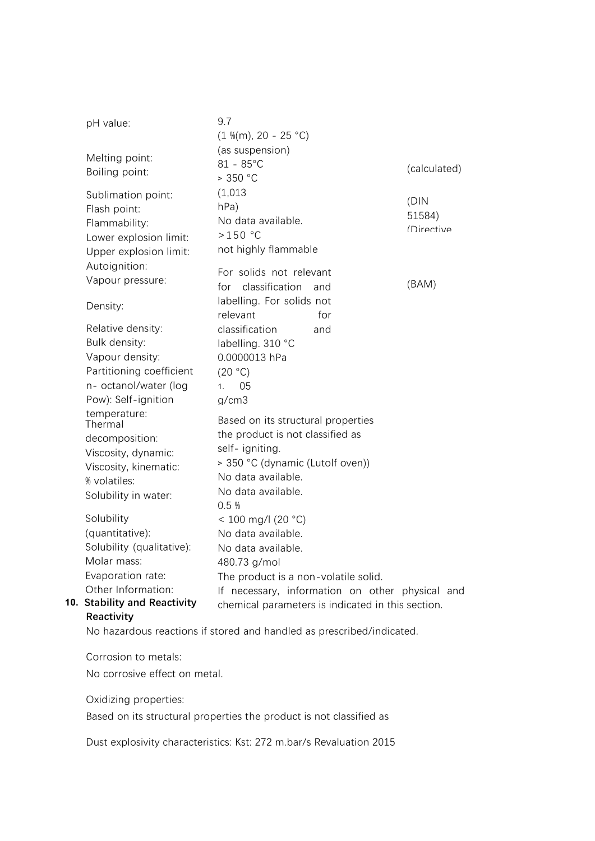| pH value:                                                                                                                         | 9.7<br>$(1\%$ (m), 20 - 25 °C)                                                                                                                                                    |
|-----------------------------------------------------------------------------------------------------------------------------------|-----------------------------------------------------------------------------------------------------------------------------------------------------------------------------------|
| Melting point:<br>Boiling point:                                                                                                  | (as suspension)<br>$81 - 85^{\circ}$ C<br>(calculated)<br>> 350 °C                                                                                                                |
| Sublimation point:<br>Flash point:<br>Flammability:<br>Lower explosion limit:<br>Upper explosion limit:                           | (1,013)<br>(DIN)<br>hPa)<br>51584)<br>No data available.<br>(Directive<br>$>150$ °C<br>not highly flammable                                                                       |
| Autoignition:<br>Vapour pressure:                                                                                                 | For solids not relevant<br>(BAM)<br>classification<br>for<br>and                                                                                                                  |
| Density:                                                                                                                          | labelling. For solids not<br>relevant<br>for                                                                                                                                      |
| Relative density:<br>Bulk density:<br>Vapour density:<br>Partitioning coefficient<br>n- octanol/water (log<br>Pow): Self-ignition | classification<br>and<br>labelling. 310 °C<br>0.0000013 hPa<br>(20 °C)<br>05<br>1 <sup>1</sup><br>a/cm3                                                                           |
| temperature:<br>Thermal<br>decomposition:<br>Viscosity, dynamic:<br>Viscosity, kinematic:<br>% volatiles:<br>Solubility in water: | Based on its structural properties<br>the product is not classified as<br>self- igniting.<br>> 350 °C (dynamic (Lutolf oven))<br>No data available.<br>No data available.<br>0.5% |
| Solubility<br>(quantitative):<br>Solubility (qualitative):<br>Molar mass:<br>Evaporation rate:                                    | $< 100$ mg/l (20 °C)<br>No data available.<br>No data available.<br>480.73 g/mol<br>The product is a non-volatile solid.                                                          |
| Other Information:<br>10. Stability and Reactivity                                                                                | necessary, information on other physical and<br>If.<br>chemical parameters is indicated in this section.                                                                          |

# **Reactivity**

No hazardous reactions if stored and handled as prescribed/indicated.

Corrosion to metals:

No corrosive effect on metal.

Oxidizing properties:

Based on its structural properties the product is not classified as

Dust explosivity characteristics: Kst: 272 m.bar/s Revaluation 2015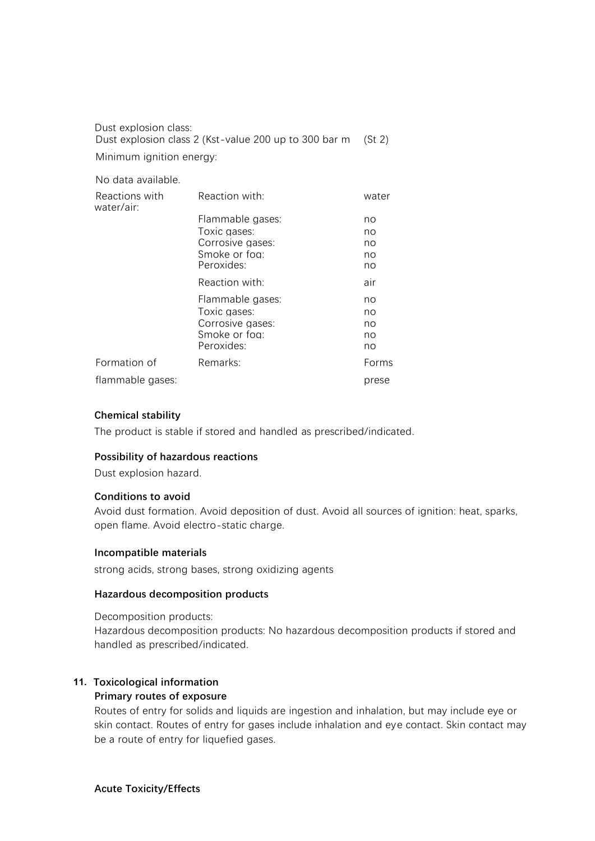Dust explosion class: Dust explosion class 2 (Kst-value 200 up to 300 bar m (St 2) Minimum ignition energy:

No data available.

| Reactions with<br>water/air: | Reaction with:   | water |
|------------------------------|------------------|-------|
|                              | Flammable gases: | no    |
|                              | Toxic gases:     | no    |
|                              | Corrosive gases: | no    |
|                              | Smoke or foa:    | no    |
|                              | Peroxides:       | no    |
|                              | Reaction with:   | air   |
|                              | Flammable gases: | no    |
|                              | Toxic gases:     | no    |
|                              | Corrosive gases: | no    |
|                              | Smoke or foa:    | no    |
|                              | Peroxides:       | no    |
| Formation of                 | Remarks:         | Forms |
| flammable gases:             |                  | prese |

#### **Chemical stability**

The product is stable if stored and handled as prescribed/indicated.

#### **Possibility of hazardous reactions**

Dust explosion hazard.

#### **Conditions to avoid**

Avoid dust formation. Avoid deposition of dust. Avoid all sources of ignition: heat, sparks, open flame. Avoid electro-static charge.

#### **Incompatible materials**

strong acids, strong bases, strong oxidizing agents

#### **Hazardous decomposition products**

Decomposition products:

Hazardous decomposition products: No hazardous decomposition products if stored and handled as prescribed/indicated.

# **11. Toxicological information**

# > 350 °C (dynamic (Lutolf oven)) **Primary routes of exposure**

Routes of entry for solids and liquids are ingestion and inhalation, but may include eye or skin contact. Routes of entry for gases include inhalation and eye contact. Skin contact may be a route of entry for liquefied gases.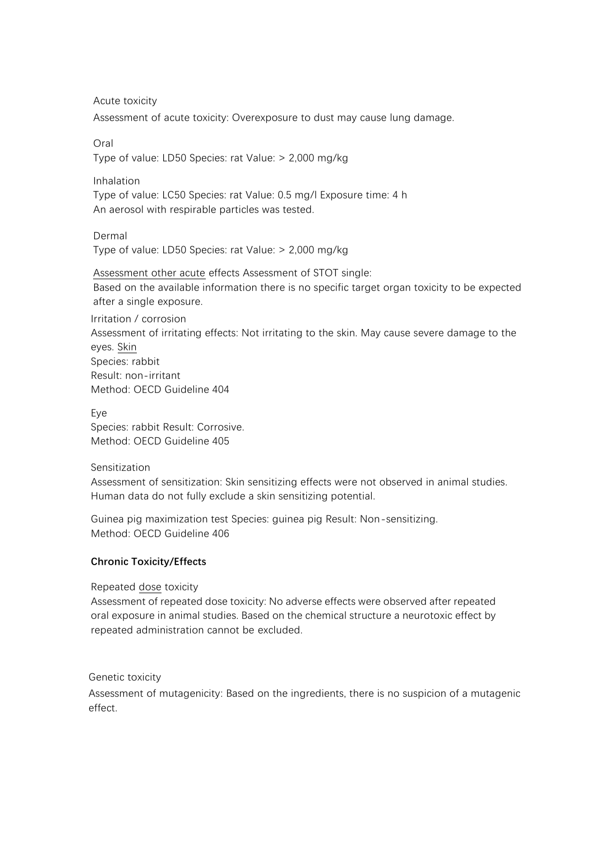Acute toxicity

Assessment of acute toxicity: Overexposure to dust may cause lung damage.

Oral

Type of value: LD50 Species: rat Value: > 2,000 mg/kg

Inhalation

Type of value: LC50 Species: rat Value: 0.5 mg/l Exposure time: 4 h An aerosol with respirable particles was tested.

Dermal Type of value: LD50 Species: rat Value: > 2,000 mg/kg

Assessment other acute effects Assessment of STOT single: Based on the available information there is no specific target organ toxicity to be expected after a single exposure.

Irritation / corrosion

Assessment of irritating effects: Not irritating to the skin. May cause severe damage to the eyes. Skin Species: rabbit Result: non-irritant Method: OECD Guideline 404

Eye Species: rabbit Result: Corrosive. Method: OECD Guideline 405

# Sensitization

Assessment of sensitization: Skin sensitizing effects were not observed in animal studies. Human data do not fully exclude a skin sensitizing potential.

Guinea pig maximization test Species: guinea pig Result: Non-sensitizing. Method: OECD Guideline 406

# **Chronic Toxicity/Effects**

Repeated dose toxicity

Assessment of repeated dose toxicity: No adverse effects were observed after repeated oral exposure in animal studies. Based on the chemical structure a neurotoxic effect by repeated administration cannot be excluded.

# Genetic toxicity

Assessment of mutagenicity: Based on the ingredients, there is no suspicion of a mutagenic effect.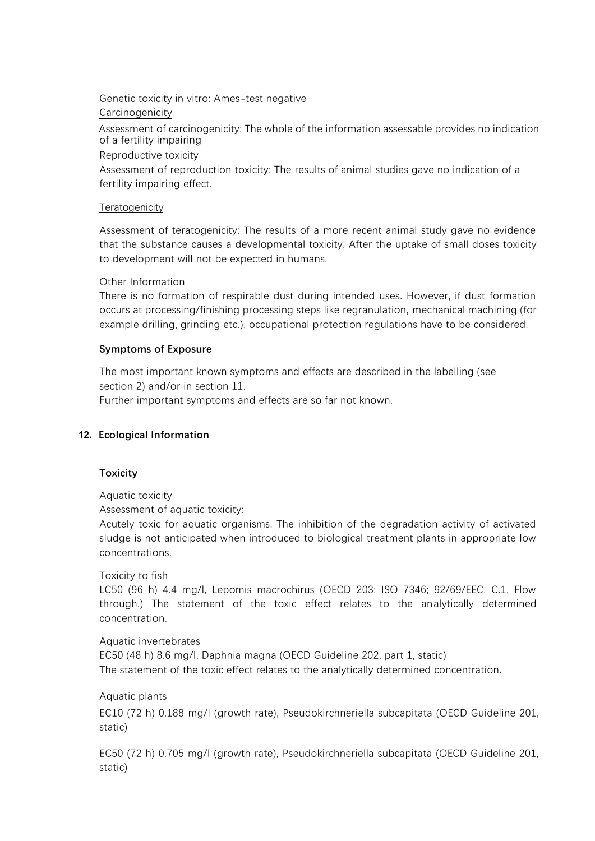Genetic toxicity in vitro: Ames-test negative **Carcinogenicity** 

Assessment of carcinogenicity: The whole of the information assessable provides no indication of a fertility impairing

Reproductive toxicity

Assessment of reproduction toxicity: The results of animal studies gave no indication of a fertility impairing effect.

## **Teratogenicity**

Assessment of teratogenicity: The results of a more recent animal study gave no evidence that the substance causes a developmental toxicity. After the uptake of small doses toxicity to development will not be expected in humans.

#### Other Information

There is no formation of respirable dust during intended uses. However, if dust formation occurs at processing/finishing processing steps like regranulation, mechanical machining (for example drilling, grinding etc.), occupational protection regulations have to be considered.

#### **Symptoms of Exposure**

The most important known symptoms and effects are described in the labelling (see section 2) and/or in section 11.

Further important symptoms and effects are so far not known.

# **12. Ecological Information**

#### **Toxicity**

Aquatic toxicity

Assessment of aquatic toxicity:

Acutely toxic for aquatic organisms. The inhibition of the degradation activity of activated sludge is not anticipated when introduced to biological treatment plants in appropriate low concentrations.

#### Toxicity to fish

LC50 (96 h) 4.4 mg/l, Lepomis macrochirus (OECD 203; ISO 7346; 92/69/EEC, C.1, Flow through.) The statement of the toxic effect relates to the analytically determined concentration.

Aquatic invertebrates EC50 (48 h) 8.6 mg/l, Daphnia magna (OECD Guideline 202, part 1, static) The statement of the toxic effect relates to the analytically determined concentration.

Aquatic plants EC10 (72 h) 0.188 mg/l (growth rate), Pseudokirchneriella subcapitata (OECD Guideline 201, static)

EC50 (72 h) 0.705 mg/l (growth rate), Pseudokirchneriella subcapitata (OECD Guideline 201, static)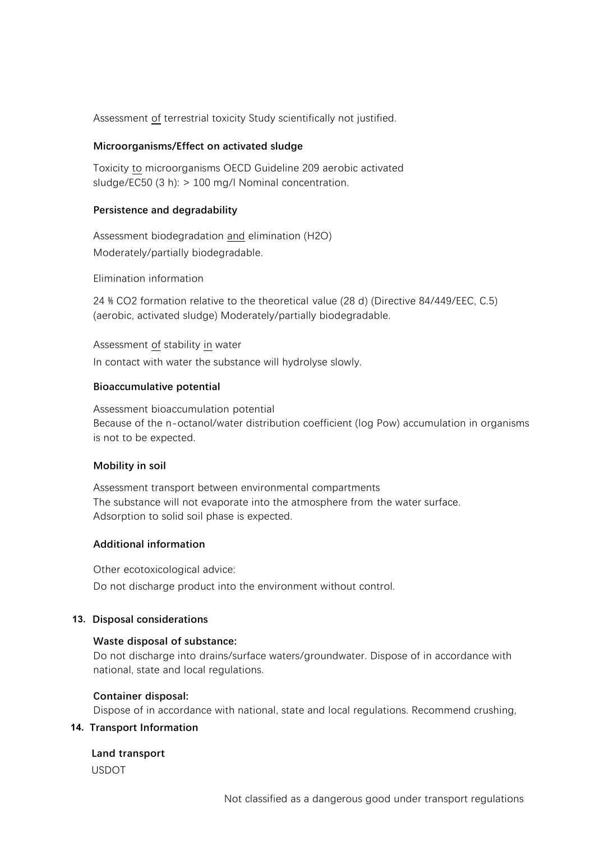Assessment of terrestrial toxicity Study scientifically not justified.

#### **Microorganisms/Effect on activated sludge**

Toxicity to microorganisms OECD Guideline 209 aerobic activated sludge/EC50 (3 h): > 100 mg/l Nominal concentration.

#### **Persistence and degradability**

Assessment biodegradation and elimination (H2O) Moderately/partially biodegradable.

Elimination information

24 % CO2 formation relative to the theoretical value (28 d) (Directive 84/449/EEC, C.5) (aerobic, activated sludge) Moderately/partially biodegradable.

Assessment of stability in water In contact with water the substance will hydrolyse slowly.

#### **Bioaccumulative potential**

Assessment bioaccumulation potential Because of the n-octanol/water distribution coefficient (log Pow) accumulation in organisms is not to be expected.

#### **Mobility in soil**

Assessment transport between environmental compartments The substance will not evaporate into the atmosphere from the water surface. Adsorption to solid soil phase is expected.

# **Additional information**

Other ecotoxicological advice: Do not discharge product into the environment without control.

# **13. Disposal considerations**

# **Waste disposal of substance:**

Do not discharge into drains/surface waters/groundwater. Dispose of in accordance with national, state and local regulations.

#### **Container disposal:**

Dispose of in accordance with national, state and local regulations. Recommend crushing,

#### **14. Transport Information**

# **Land transport**

USDOT